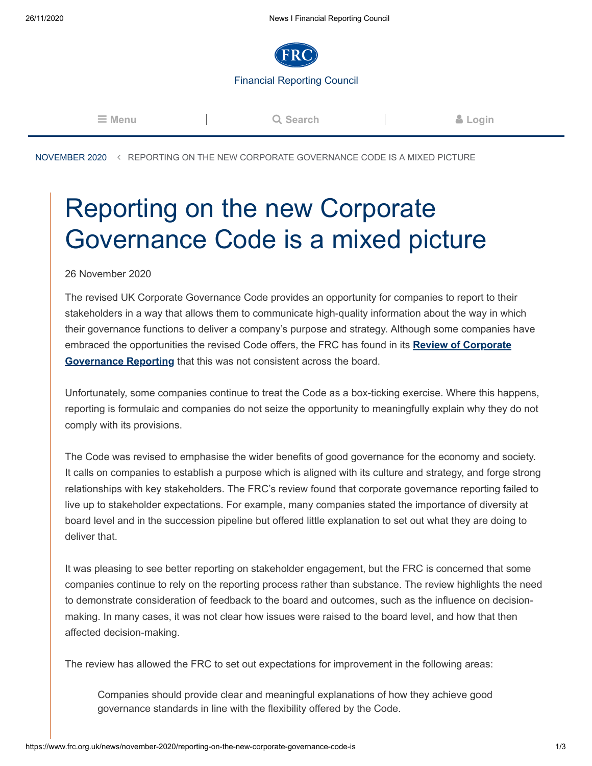

**Q** Search **a [Login](https://www.frc.org.uk/login)** 

[NOVEMBER 2020](https://www.frc.org.uk/news/november-2020) REPORTING ON THE NEW CORPORATE GOVERNANCE CODE IS A MIXED PICTURE

## Reporting on the new Corporate Governance Code is a mixed picture

26 November 2020

The revised UK Corporate Governance Code provides an opportunity for companies to report to their stakeholders in a way that allows them to communicate high-quality information about the way in which their governance functions to deliver a company's purpose and strategy. Although some companies have [embraced the opportunities the revised Code offers, the FRC has found in its](https://www.frc.org.uk/document-library/corporate-governance/2020/corporate-governance-review-2020) **Review of Corporate Governance Reporting** that this was not consistent across the board.

Unfortunately, some companies continue to treat the Code as a box-ticking exercise. Where this happens, reporting is formulaic and companies do not seize the opportunity to meaningfully explain why they do not comply with its provisions.

The Code was revised to emphasise the wider benefits of good governance for the economy and society. It calls on companies to establish a purpose which is aligned with its culture and strategy, and forge strong relationships with key stakeholders. The FRC's review found that corporate governance reporting failed to live up to stakeholder expectations. For example, many companies stated the importance of diversity at board level and in the succession pipeline but offered little explanation to set out what they are doing to deliver that.

It was pleasing to see better reporting on stakeholder engagement, but the FRC is concerned that some companies continue to rely on the reporting process rather than substance. The review highlights the need to demonstrate consideration of feedback to the board and outcomes, such as the influence on decisionmaking. In many cases, it was not clear how issues were raised to the board level, and how that then affected decision-making.

The review has allowed the FRC to set out expectations for improvement in the following areas:

Companies should provide clear and meaningful explanations of how they achieve good governance standards in line with the flexibility offered by the Code.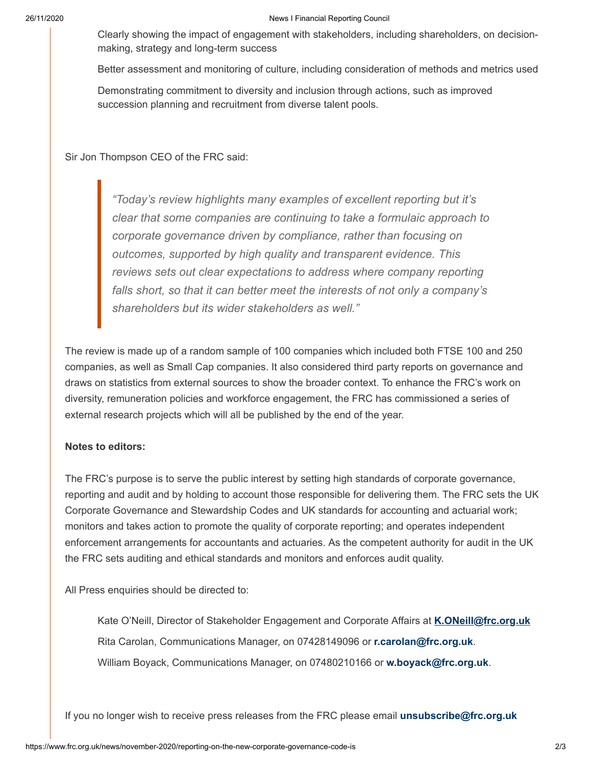## 26/11/2020 News I Financial Reporting Council

Clearly showing the impact of engagement with stakeholders, including shareholders, on decisionmaking, strategy and long-term success

Better assessment and monitoring of culture, including consideration of methods and metrics used

Demonstrating commitment to diversity and inclusion through actions, such as improved succession planning and recruitment from diverse talent pools.

Sir Jon Thompson CEO of the FRC said:

*"Today's review highlights many examples of excellent reporting but it's clear that some companies are continuing to take a formulaic approach to corporate governance driven by compliance, rather than focusing on outcomes, supported by high quality and transparent evidence. This reviews sets out clear expectations to address where company reporting falls short, so that it can better meet the interests of not only a company's shareholders but its wider stakeholders as well."*

The review is made up of a random sample of 100 companies which included both FTSE 100 and 250 companies, as well as Small Cap companies. It also considered third party reports on governance and draws on statistics from external sources to show the broader context. To enhance the FRC's work on diversity, remuneration policies and workforce engagement, the FRC has commissioned a series of external research projects which will all be published by the end of the year.

## **Notes to editors:**

The FRC's purpose is to serve the public interest by setting high standards of corporate governance, reporting and audit and by holding to account those responsible for delivering them. The FRC sets the UK Corporate Governance and Stewardship Codes and UK standards for accounting and actuarial work; monitors and takes action to promote the quality of corporate reporting; and operates independent enforcement arrangements for accountants and actuaries. As the competent authority for audit in the UK the FRC sets auditing and ethical standards and monitors and enforces audit quality.

All Press enquiries should be directed to:

Kate O'Neill, Director of Stakeholder Engagement and Corporate Affairs at **[K.ONeill@frc.org.uk](file:///C:/Users/k.oneill/AppData/Local/Microsoft/Windows/INetCache/Content.Outlook/Y4QNJH1L/K.ONeill@frc.org.uk)** Rita Carolan, Communications Manager, on 07428149096 or **r.carolan@frc.org.uk**. William Boyack, Communications Manager, on 07480210166 or **w.boyack@frc.org.uk**.

If you no longer wish to receive press releases from the FRC please email **unsubscribe@frc.org.uk**